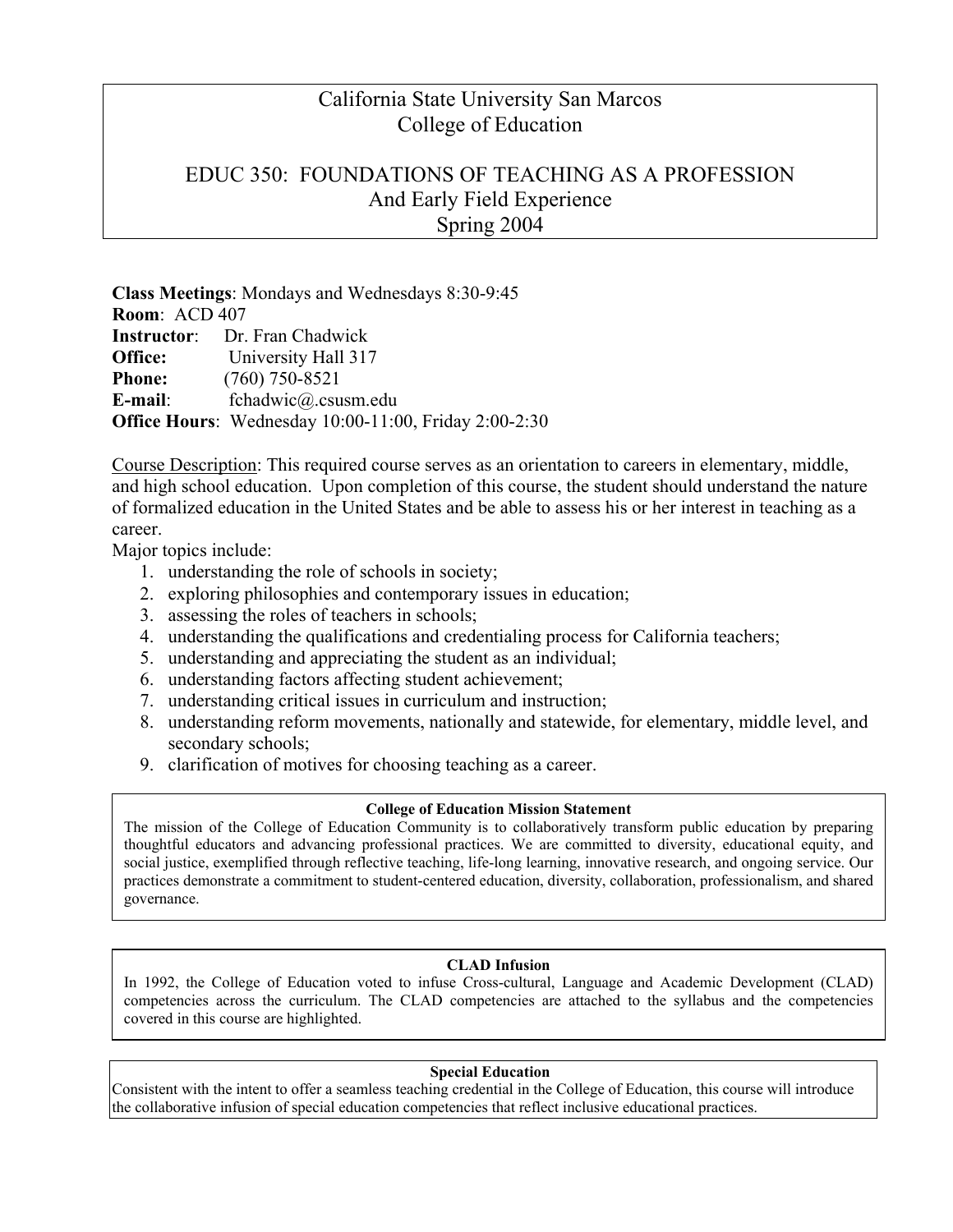### California State University San Marcos College of Education

### EDUC 350: FOUNDATIONS OF TEACHING AS A PROFESSION And Early Field Experience Spring 2004

**Class Meetings**: Mondays and Wednesdays 8:30-9:45 **Room**: ACD 407 **Instructor**: Dr. Fran Chadwick **Office:** University Hall 317 **Phone:** (760) 750-8521 **E-mail**: fchadwic@.csusm.edu **Office Hours**: Wednesday 10:00-11:00, Friday 2:00-2:30

Course Description: This required course serves as an orientation to careers in elementary, middle, and high school education. Upon completion of this course, the student should understand the nature of formalized education in the United States and be able to assess his or her interest in teaching as a career.

Major topics include:

- 1. understanding the role of schools in society;
- 2. exploring philosophies and contemporary issues in education;
- 3. assessing the roles of teachers in schools;
- 4. understanding the qualifications and credentialing process for California teachers;
- 5. understanding and appreciating the student as an individual;
- 6. understanding factors affecting student achievement;
- 7. understanding critical issues in curriculum and instruction;
- 8. understanding reform movements, nationally and statewide, for elementary, middle level, and secondary schools;
- 9. clarification of motives for choosing teaching as a career.

#### **College of Education Mission Statement**

The mission of the College of Education Community is to collaboratively transform public education by preparing thoughtful educators and advancing professional practices. We are committed to diversity, educational equity, and social justice, exemplified through reflective teaching, life-long learning, innovative research, and ongoing service. Our practices demonstrate a commitment to student-centered education, diversity, collaboration, professionalism, and shared governance.

#### **CLAD Infusion**

In 1992, the College of Education voted to infuse Cross-cultural, Language and Academic Development (CLAD) competencies across the curriculum. The CLAD competencies are attached to the syllabus and the competencies covered in this course are highlighted.

#### **Special Education**

Consistent with the intent to offer a seamless teaching credential in the College of Education, this course will introduce the collaborative infusion of special education competencies that reflect inclusive educational practices.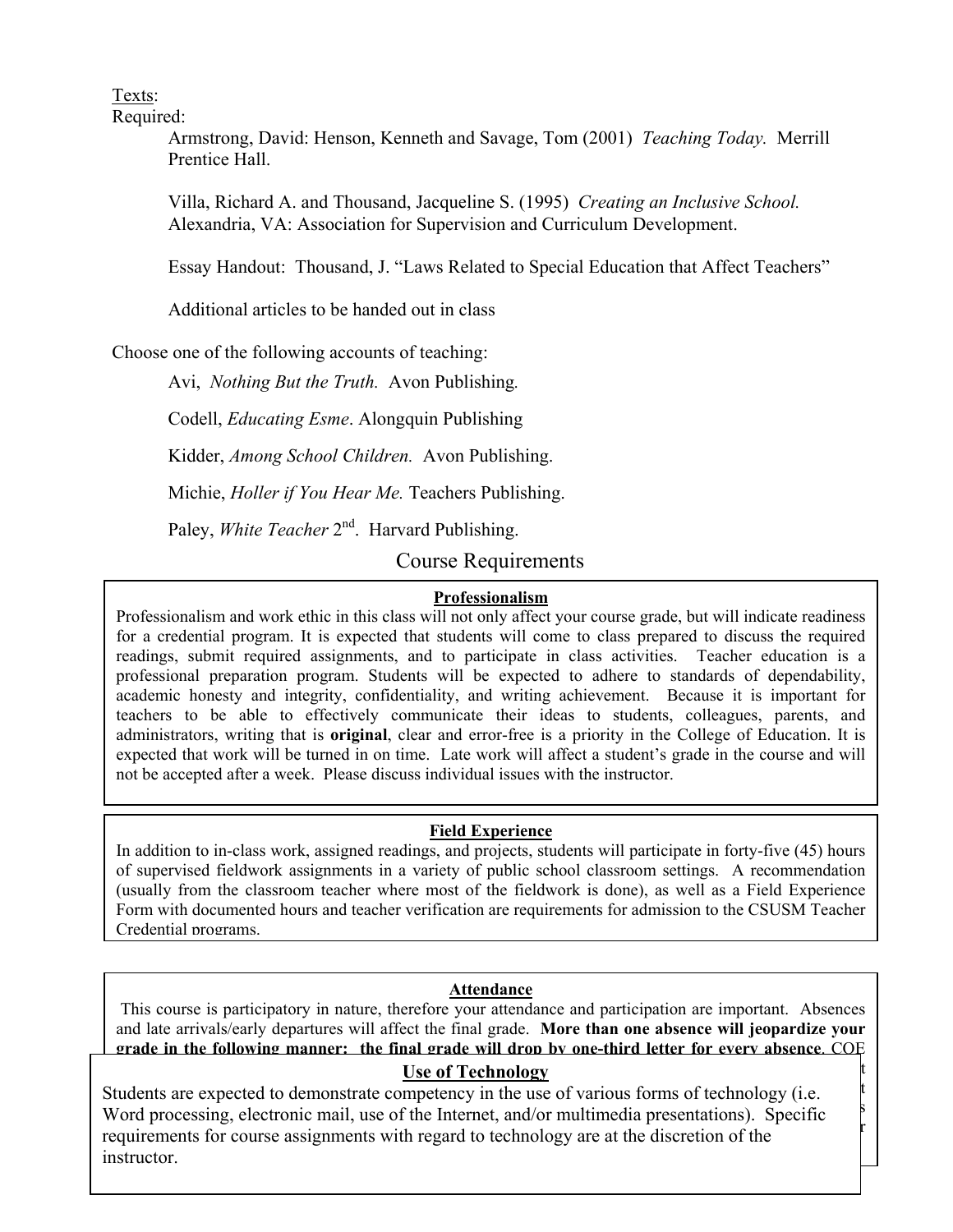Texts:

Required:

Armstrong, David: Henson, Kenneth and Savage, Tom (2001) *Teaching Today.* Merrill Prentice Hall.

Villa, Richard A. and Thousand, Jacqueline S. (1995) *Creating an Inclusive School.*  Alexandria, VA: Association for Supervision and Curriculum Development.

Essay Handout: Thousand, J. "Laws Related to Special Education that Affect Teachers"

Additional articles to be handed out in class

Choose one of the following accounts of teaching:

Avi, *Nothing But the Truth.* Avon Publishing*.*

Codell, *Educating Esme*. Alongquin Publishing

Kidder, *Among School Children.* Avon Publishing.

Michie, *Holler if You Hear Me.* Teachers Publishing.

Paley, *White Teacher* 2<sup>nd</sup>. Harvard Publishing.

Course Requirements

#### **Professionalism**

Professionalism and work ethic in this class will not only affect your course grade, but will indicate readiness for a credential program. It is expected that students will come to class prepared to discuss the required readings, submit required assignments, and to participate in class activities. Teacher education is a professional preparation program. Students will be expected to adhere to standards of dependability, academic honesty and integrity, confidentiality, and writing achievement. Because it is important for teachers to be able to effectively communicate their ideas to students, colleagues, parents, and administrators, writing that is **original**, clear and error-free is a priority in the College of Education. It is expected that work will be turned in on time. Late work will affect a student's grade in the course and will not be accepted after a week. Please discuss individual issues with the instructor.

#### **Field Experience**

In addition to in-class work, assigned readings, and projects, students will participate in forty-five (45) hours of supervised fieldwork assignments in a variety of public school classroom settings. A recommendation (usually from the classroom teacher where most of the fieldwork is done), as well as a Field Experience Form with documented hours and teacher verification are requirements for admission to the CSUSM Teacher Credential programs.

#### **Attendance**

 This course is participatory in nature, therefore your attendance and participation are important. Absences and late arrivals/early departures will affect the final grade. **More than one absence will jeopardize your grade in the following manner: the final grade will drop by one-third letter for every absence**. COE

### **attending the minimum, state of Technology** than 80% of the more than 80% of class time, or sympathetic more than 80% of the may not students must be may not so than 80% of class time, or sympathetic more than 80% of clas

 $\text{S}$ uctor. Students are expected to demonstrate competency in the use of various forms of technology (i.e.  $\qquad \qquad$ Word processing, electronic mail, use of the Internet, and/or multimedia presentations). Specific  $\frac{1}{2}$ sta processing, creations man, as of the internet, and of inditinedia presentations). Specific requirements for course assignments with regard to technology are at the discretion of the instructor.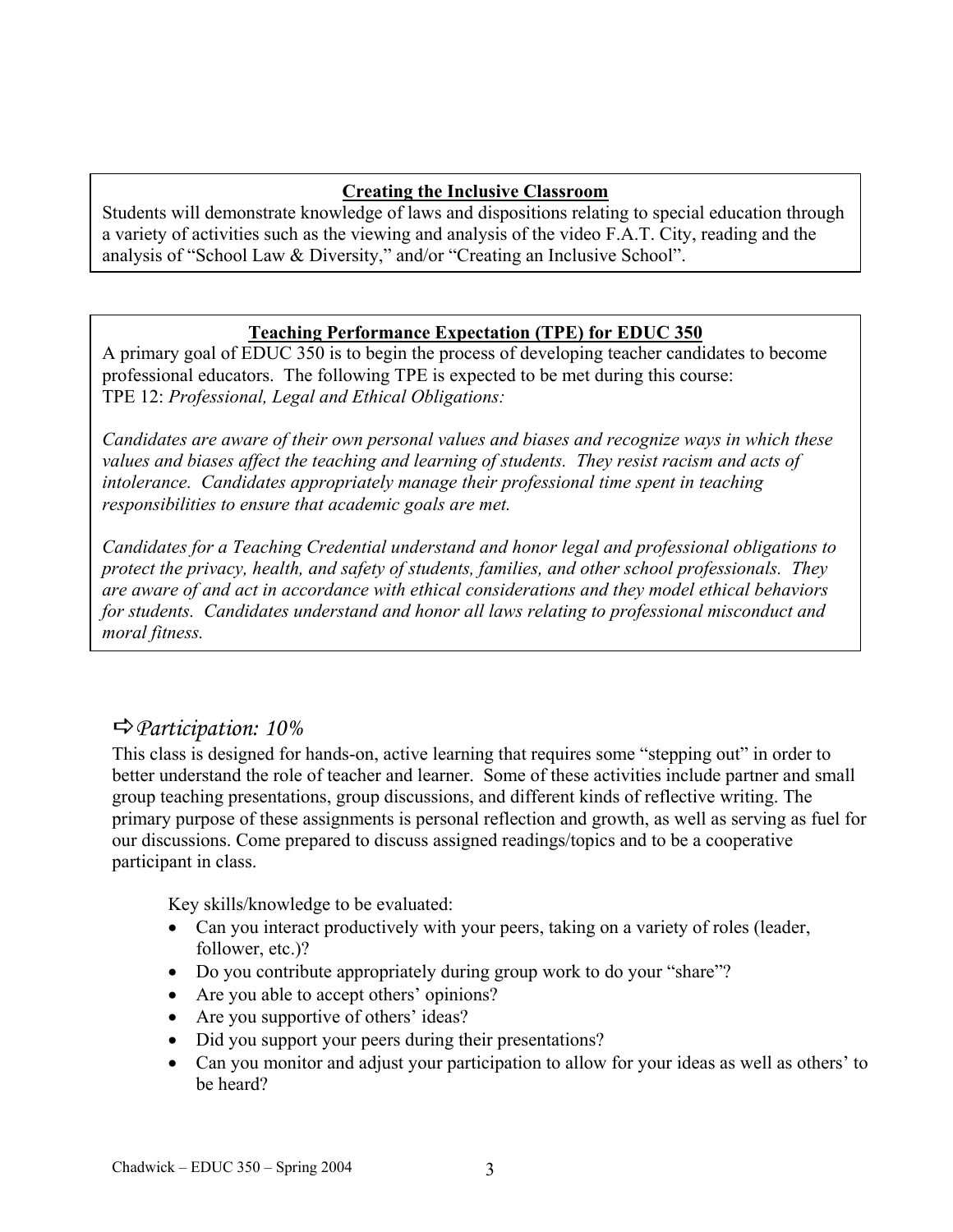### **Creating the Inclusive Classroom**

Students will demonstrate knowledge of laws and dispositions relating to special education through a variety of activities such as the viewing and analysis of the video F.A.T. City, reading and the analysis of "School Law & Diversity," and/or "Creating an Inclusive School".

#### **Teaching Performance Expectation (TPE) for EDUC 350**

A primary goal of EDUC 350 is to begin the process of developing teacher candidates to become professional educators. The following TPE is expected to be met during this course: TPE 12: *Professional, Legal and Ethical Obligations:* 

responsibilities to ensure that academic goals are met. *Candidates are aware of their own personal values and biases and recognize ways in which these values and biases affect the teaching and learning of students. They resist racism and acts of intolerance. Candidates appropriately manage their professional time spent in teaching* 

*Candidates for a Teaching Credential understand and honor legal and professional obligations to protect the privacy, health, and safety of students, families, and other school professionals. They are aware of and act in accordance with ethical considerations and they model ethical behaviors for students. Candidates understand and honor all laws relating to professional misconduct and moral fitness.* 

## D*Participation: 10%*

This class is designed for hands-on, active learning that requires some "stepping out" in order to better understand the role of teacher and learner. Some of these activities include partner and small group teaching presentations, group discussions, and different kinds of reflective writing. The primary purpose of these assignments is personal reflection and growth, as well as serving as fuel for our discussions. Come prepared to discuss assigned readings/topics and to be a cooperative participant in class.

Key skills/knowledge to be evaluated:

- Can you interact productively with your peers, taking on a variety of roles (leader, follower, etc.)?
- Do you contribute appropriately during group work to do your "share"?
- Are you able to accept others' opinions?
- Are you supportive of others' ideas?
- Did you support your peers during their presentations?
- Can you monitor and adjust your participation to allow for your ideas as well as others' to be heard?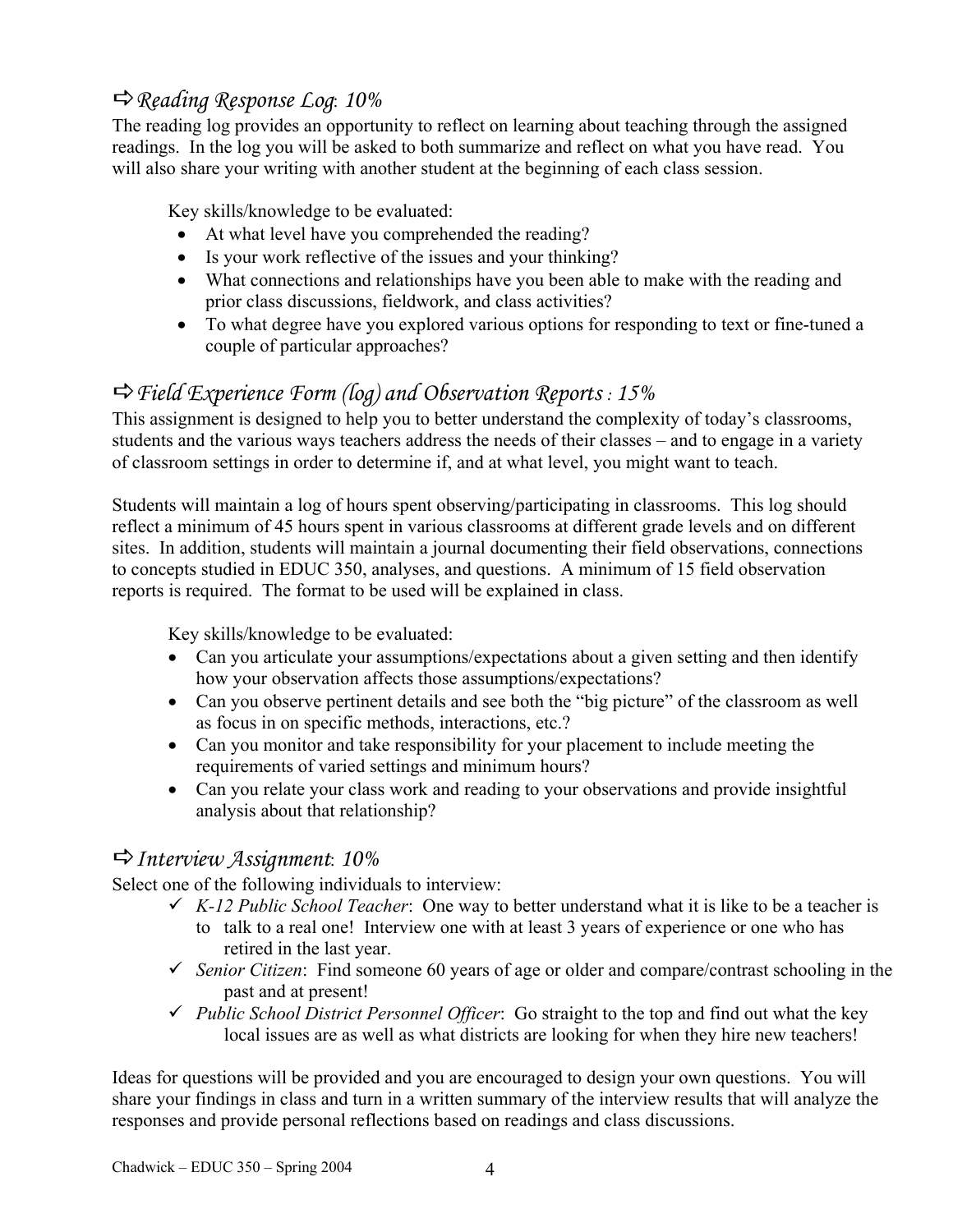## D*Reading Response Log*: *10%*

The reading log provides an opportunity to reflect on learning about teaching through the assigned readings. In the log you will be asked to both summarize and reflect on what you have read. You will also share your writing with another student at the beginning of each class session.

Key skills/knowledge to be evaluated:

- At what level have you comprehended the reading?
- Is your work reflective of the issues and your thinking?
- What connections and relationships have you been able to make with the reading and prior class discussions, fieldwork, and class activities?
- To what degree have you explored various options for responding to text or fine-tuned a couple of particular approaches?

## D*Field Experience Form (log) and Observation Reports : 15%*

This assignment is designed to help you to better understand the complexity of today's classrooms, students and the various ways teachers address the needs of their classes – and to engage in a variety of classroom settings in order to determine if, and at what level, you might want to teach.

Students will maintain a log of hours spent observing/participating in classrooms. This log should reflect a minimum of 45 hours spent in various classrooms at different grade levels and on different sites. In addition, students will maintain a journal documenting their field observations, connections to concepts studied in EDUC 350, analyses, and questions. A minimum of 15 field observation reports is required. The format to be used will be explained in class.

Key skills/knowledge to be evaluated:

- Can you articulate your assumptions/expectations about a given setting and then identify how your observation affects those assumptions/expectations?
- Can you observe pertinent details and see both the "big picture" of the classroom as well as focus in on specific methods, interactions, etc.?
- Can you monitor and take responsibility for your placement to include meeting the requirements of varied settings and minimum hours?
- Can you relate your class work and reading to your observations and provide insightful analysis about that relationship?

### D*Interview Assignment*: *10%*

Select one of the following individuals to interview:

- $\checkmark$  K-12 Public School Teacher: One way to better understand what it is like to be a teacher is to talk to a real one! Interview one with at least 3 years of experience or one who has
	- retired in the last year.
- $\checkmark$  *Senior Citizen*: Find someone 60 years of age or older and compare/contrast schooling in the past and at present!
- 9 *Public School District Personnel Officer*: Go straight to the top and find out what the key local issues are as well as what districts are looking for when they hire new teachers!

Ideas for questions will be provided and you are encouraged to design your own questions. You will share your findings in class and turn in a written summary of the interview results that will analyze the responses and provide personal reflections based on readings and class discussions.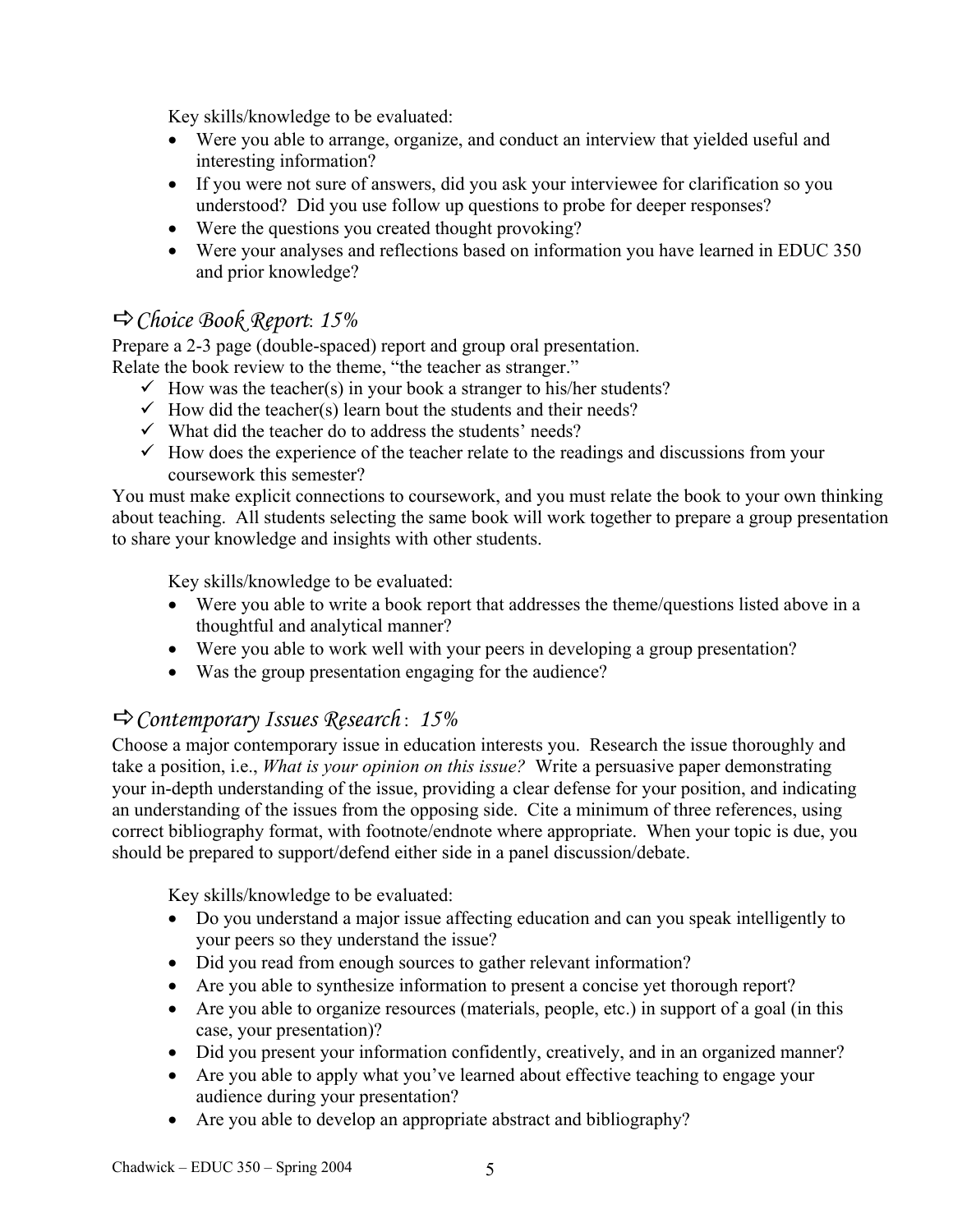Key skills/knowledge to be evaluated:

- Were you able to arrange, organize, and conduct an interview that yielded useful and interesting information?
- If you were not sure of answers, did you ask your interviewee for clarification so you understood? Did you use follow up questions to probe for deeper responses?
- Were the questions you created thought provoking?
- Were your analyses and reflections based on information you have learned in EDUC 350 and prior knowledge?

## D*Choice Book Report*: *15%*

Prepare a 2-3 page (double-spaced) report and group oral presentation.

Relate the book review to the theme, "the teacher as stranger."

- $\checkmark$  How was the teacher(s) in your book a stranger to his/her students?
- $\checkmark$  How did the teacher(s) learn bout the students and their needs?
- $\checkmark$  What did the teacher do to address the students' needs?
- $\checkmark$  How does the experience of the teacher relate to the readings and discussions from your coursework this semester?

You must make explicit connections to coursework, and you must relate the book to your own thinking about teaching. All students selecting the same book will work together to prepare a group presentation to share your knowledge and insights with other students.

Key skills/knowledge to be evaluated:

- Were you able to write a book report that addresses the theme/questions listed above in a thoughtful and analytical manner?
- Were you able to work well with your peers in developing a group presentation?
- Was the group presentation engaging for the audience?

## D*Contemporary Issues Research* : *15%*

Choose a major contemporary issue in education interests you. Research the issue thoroughly and take a position, i.e., *What is your opinion on this issue?* Write a persuasive paper demonstrating your in-depth understanding of the issue, providing a clear defense for your position, and indicating an understanding of the issues from the opposing side. Cite a minimum of three references, using correct bibliography format, with footnote/endnote where appropriate. When your topic is due, you should be prepared to support/defend either side in a panel discussion/debate.

Key skills/knowledge to be evaluated:

- Do you understand a major issue affecting education and can you speak intelligently to your peers so they understand the issue?
- Did you read from enough sources to gather relevant information?
- Are you able to synthesize information to present a concise yet thorough report?
- Are you able to organize resources (materials, people, etc.) in support of a goal (in this case, your presentation)?
- Did you present your information confidently, creatively, and in an organized manner?
- Are you able to apply what you've learned about effective teaching to engage your audience during your presentation?
- Are you able to develop an appropriate abstract and bibliography?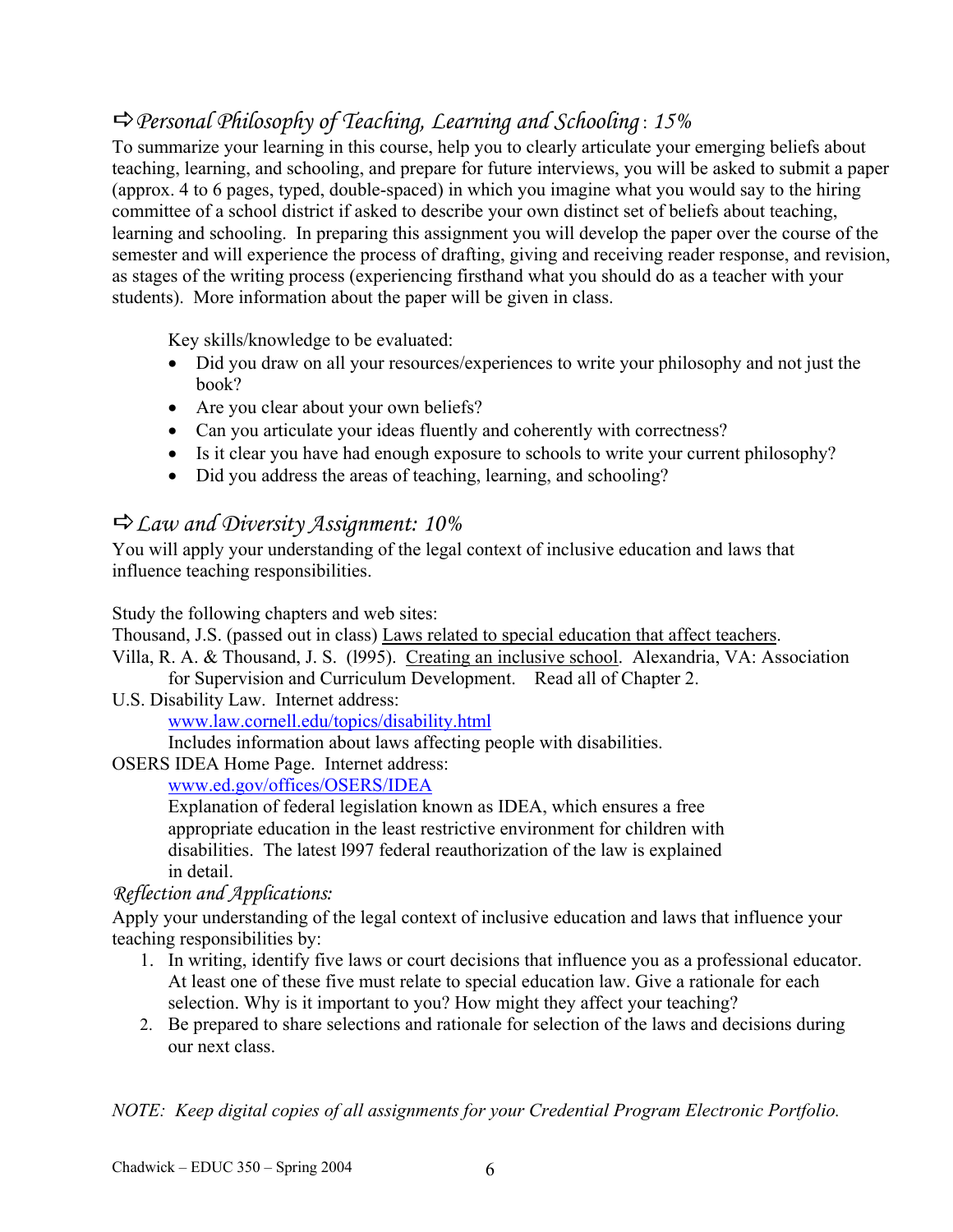# D*Personal Philosophy of Teaching, Learning and Schooling* : *15%*

To summarize your learning in this course, help you to clearly articulate your emerging beliefs about teaching, learning, and schooling, and prepare for future interviews, you will be asked to submit a paper (approx. 4 to 6 pages, typed, double-spaced) in which you imagine what you would say to the hiring committee of a school district if asked to describe your own distinct set of beliefs about teaching, learning and schooling. In preparing this assignment you will develop the paper over the course of the semester and will experience the process of drafting, giving and receiving reader response, and revision, as stages of the writing process (experiencing firsthand what you should do as a teacher with your students). More information about the paper will be given in class.

Key skills/knowledge to be evaluated:

- Did you draw on all your resources/experiences to write your philosophy and not just the book?
- Are you clear about your own beliefs?
- Can you articulate your ideas fluently and coherently with correctness?
- Is it clear you have had enough exposure to schools to write your current philosophy?
- Did you address the areas of teaching, learning, and schooling?

## D*Law and Diversity Assignment: 10%*

You will apply your understanding of the legal context of inclusive education and laws that influence teaching responsibilities.

Study the following chapters and web sites:

Thousand, J.S. (passed out in class) Laws related to special education that affect teachers.

Villa, R. A. & Thousand, J. S. (l995). Creating an inclusive school. Alexandria, VA: Association for Supervision and Curriculum Development. Read all of Chapter 2.

U.S. Disability Law. Internet address:

www.law.cornell.edu/topics/disability.html

Includes information about laws affecting people with disabilities.

OSERS IDEA Home Page. Internet address:

www.ed.gov/offices/OSERS/IDEA

Explanation of federal legislation known as IDEA, which ensures a free appropriate education in the least restrictive environment for children with disabilities. The latest l997 federal reauthorization of the law is explained in detail.

### *Reflection and Applications:*

Apply your understanding of the legal context of inclusive education and laws that influence your teaching responsibilities by:

- 1. In writing, identify five laws or court decisions that influence you as a professional educator. At least one of these five must relate to special education law. Give a rationale for each selection. Why is it important to you? How might they affect your teaching?
- 2. Be prepared to share selections and rationale for selection of the laws and decisions during our next class.

*NOTE: Keep digital copies of all assignments for your Credential Program Electronic Portfolio.*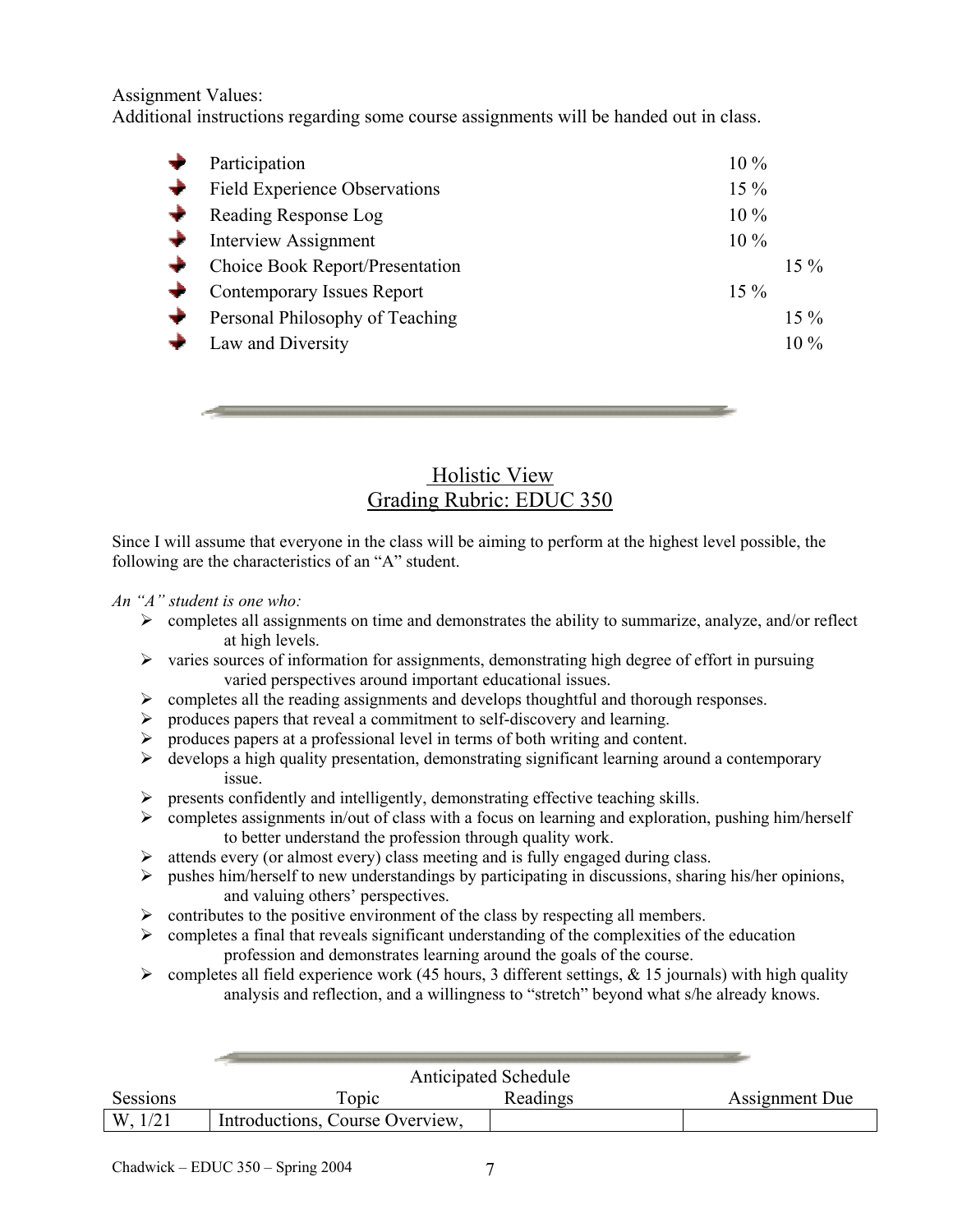Assignment Values:

Additional instructions regarding some course assignments will be handed out in class.

|               | Participation                     | $10\%$ |        |
|---------------|-----------------------------------|--------|--------|
| $\rightarrow$ | Field Experience Observations     | $15\%$ |        |
|               | Reading Response Log              | $10\%$ |        |
|               | <b>Interview Assignment</b>       | $10\%$ |        |
|               | Choice Book Report/Presentation   |        | $15\%$ |
| $\rightarrow$ | <b>Contemporary Issues Report</b> | $15\%$ |        |
|               | Personal Philosophy of Teaching   |        | $15\%$ |
|               | Law and Diversity                 |        | $10\%$ |



Since I will assume that everyone in the class will be aiming to perform at the highest level possible, the following are the characteristics of an "A" student.

#### *An "A" student is one who:*

- $\triangleright$  completes all assignments on time and demonstrates the ability to summarize, analyze, and/or reflect at high levels.
- $\triangleright$  varies sources of information for assignments, demonstrating high degree of effort in pursuing varied perspectives around important educational issues.
- $\triangleright$  completes all the reading assignments and develops thoughtful and thorough responses.
- ¾ produces papers that reveal a commitment to self-discovery and learning.
- ¾ produces papers at a professional level in terms of both writing and content.
- $\triangleright$  develops a high quality presentation, demonstrating significant learning around a contemporary issue.
- ¾ presents confidently and intelligently, demonstrating effective teaching skills.
- $\triangleright$  completes assignments in/out of class with a focus on learning and exploration, pushing him/herself to better understand the profession through quality work.
- $\triangleright$  attends every (or almost every) class meeting and is fully engaged during class.
- $\triangleright$  pushes him/herself to new understandings by participating in discussions, sharing his/her opinions, and valuing others' perspectives.
- $\triangleright$  contributes to the positive environment of the class by respecting all members.
- $\triangleright$  completes a final that reveals significant understanding of the complexities of the education profession and demonstrates learning around the goals of the course.
- $\triangleright$  completes all field experience work (45 hours, 3 different settings, & 15 journals) with high quality analysis and reflection, and a willingness to "stretch" beyond what s/he already knows.

| Sessions | Topic                           | Readings | Assignment Due |
|----------|---------------------------------|----------|----------------|
| W.       | Introductions, Course Overview, |          |                |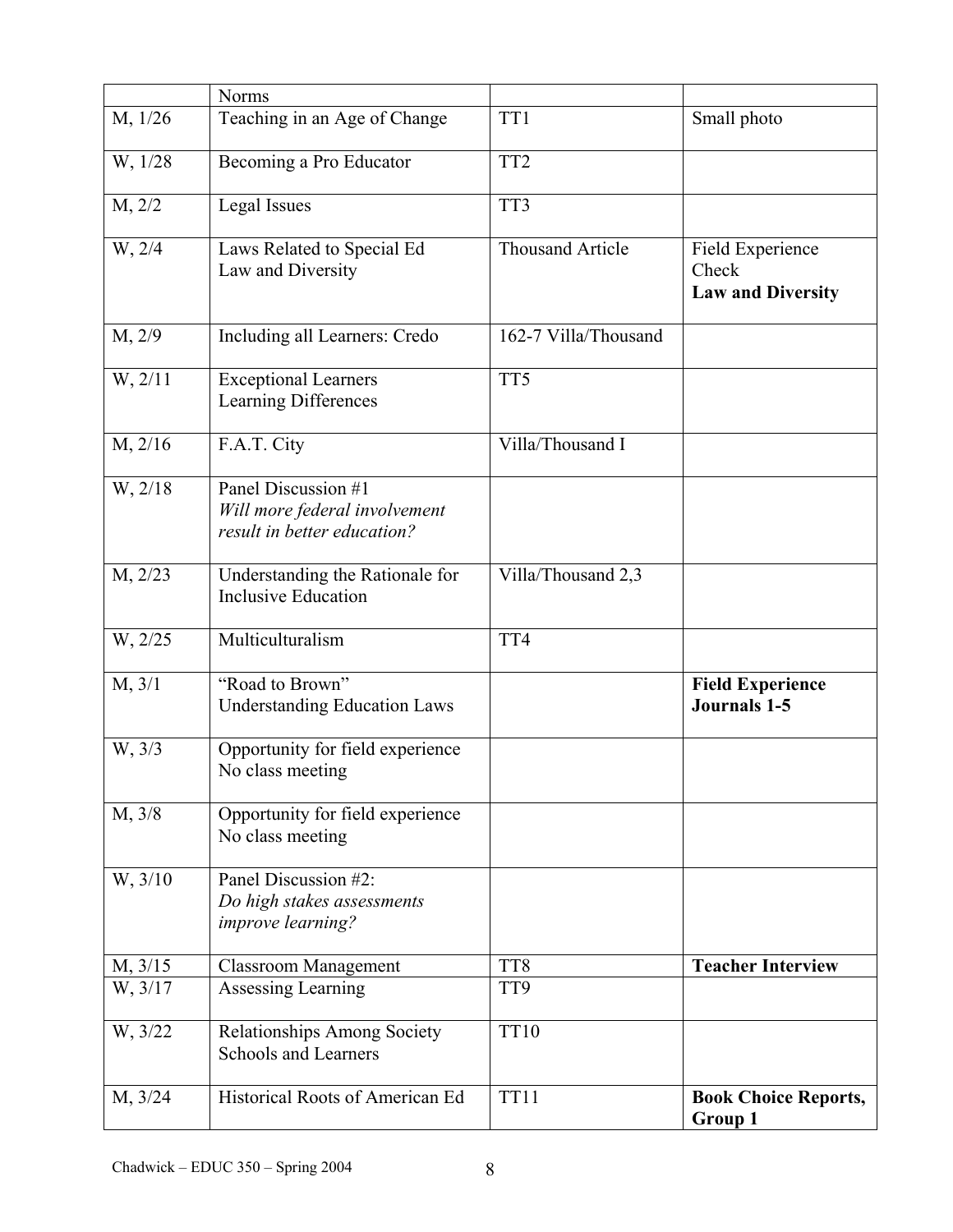|         | <b>Norms</b>                                                                        |                         |                                                       |
|---------|-------------------------------------------------------------------------------------|-------------------------|-------------------------------------------------------|
| M, 1/26 | Teaching in an Age of Change                                                        | TT1                     | Small photo                                           |
| W, 1/28 | Becoming a Pro Educator                                                             | TT <sub>2</sub>         |                                                       |
| M, 2/2  | <b>Legal Issues</b>                                                                 | TT3                     |                                                       |
| W, 2/4  | Laws Related to Special Ed<br>Law and Diversity                                     | <b>Thousand Article</b> | Field Experience<br>Check<br><b>Law and Diversity</b> |
| M, 2/9  | Including all Learners: Credo                                                       | 162-7 Villa/Thousand    |                                                       |
| W, 2/11 | <b>Exceptional Learners</b><br>Learning Differences                                 | TT5                     |                                                       |
| M, 2/16 | F.A.T. City                                                                         | Villa/Thousand I        |                                                       |
| W, 2/18 | Panel Discussion #1<br>Will more federal involvement<br>result in better education? |                         |                                                       |
| M, 2/23 | Understanding the Rationale for<br><b>Inclusive Education</b>                       | Villa/Thousand 2,3      |                                                       |
| W, 2/25 | Multiculturalism                                                                    | TT4                     |                                                       |
| M, 3/1  | "Road to Brown"<br><b>Understanding Education Laws</b>                              |                         | <b>Field Experience</b><br><b>Journals 1-5</b>        |
| W, 3/3  | Opportunity for field experience<br>No class meeting                                |                         |                                                       |
| M, 3/8  | Opportunity for field experience<br>No class meeting                                |                         |                                                       |
| W, 3/10 | Panel Discussion #2:<br>Do high stakes assessments<br>improve learning?             |                         |                                                       |
| M, 3/15 | <b>Classroom Management</b>                                                         | TT8                     | <b>Teacher Interview</b>                              |
| W, 3/17 | Assessing Learning                                                                  | TT9                     |                                                       |
| W, 3/22 | Relationships Among Society<br><b>Schools and Learners</b>                          | <b>TT10</b>             |                                                       |
| M, 3/24 | Historical Roots of American Ed                                                     | <b>TT11</b>             | <b>Book Choice Reports,</b><br>Group 1                |